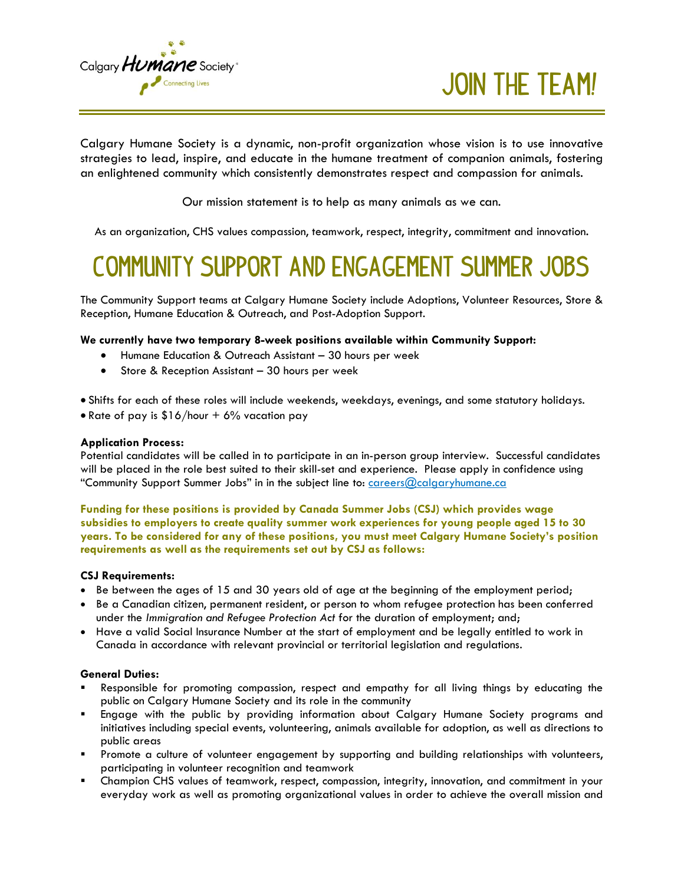

**Join the Team!**

Calgary Humane Society is a dynamic, non-profit organization whose vision is to use innovative strategies to lead, inspire, and educate in the humane treatment of companion animals, fostering an enlightened community which consistently demonstrates respect and compassion for animals.

Our mission statement is to help as many animals as we can.

As an organization, CHS values compassion, teamwork, respect, integrity, commitment and innovation.

## **Community Support and Engagement Summer Jobs**

The Community Support teams at Calgary Humane Society include Adoptions, Volunteer Resources, Store & Reception, Humane Education & Outreach, and Post-Adoption Support.

#### **We currently have two temporary 8-week positions available within Community Support:**

- Humane Education & Outreach Assistant 30 hours per week
- Store & Reception Assistant 30 hours per week
- Shifts for each of these roles will include weekends, weekdays, evenings, and some statutory holidays.
- Rate of pay is  $$16/hour + 6%$  vacation pay

#### **Application Process:**

Potential candidates will be called in to participate in an in-person group interview. Successful candidates will be placed in the role best suited to their skill-set and experience. Please apply in confidence using "Community Support Summer Jobs" in in the subject line to: [careers@calgaryhumane.ca](mailto:careers@calgaryhumane.ca)

**Funding for these positions is provided by Canada Summer Jobs (CSJ) which provides wage subsidies to employers to create quality summer work experiences for young people aged 15 to 30 years. To be considered for any of these positions, you must meet Calgary Humane Society's position requirements as well as the requirements set out by CSJ as follows:** 

#### **CSJ Requirements:**

- Be between the ages of 15 and 30 years old of age at the beginning of the employment period;
- Be a Canadian citizen, permanent resident, or person to whom refugee protection has been conferred under the *Immigration and Refugee Protection Act* for the duration of employment; and;
- Have a valid Social Insurance Number at the start of employment and be legally entitled to work in Canada in accordance with relevant provincial or territorial legislation and regulations.

#### **General Duties:**

- Responsible for promoting compassion, respect and empathy for all living things by educating the public on Calgary Humane Society and its role in the community
- Engage with the public by providing information about Calgary Humane Society programs and initiatives including special events, volunteering, animals available for adoption, as well as directions to public areas
- Promote a culture of volunteer engagement by supporting and building relationships with volunteers, participating in volunteer recognition and teamwork
- Champion CHS values of teamwork, respect, compassion, integrity, innovation, and commitment in your everyday work as well as promoting organizational values in order to achieve the overall mission and